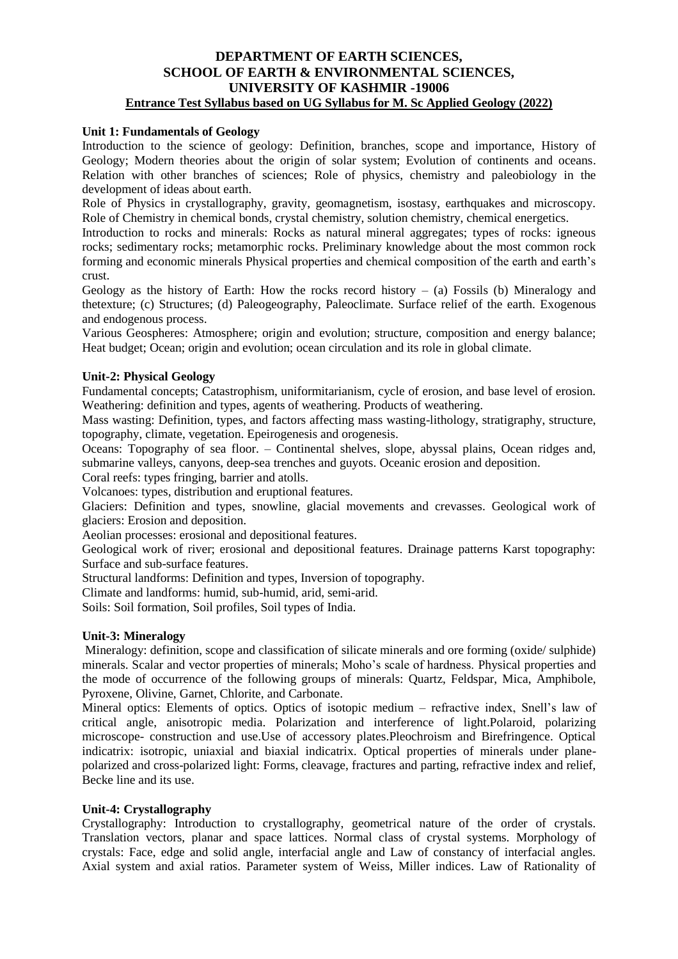# **DEPARTMENT OF EARTH SCIENCES, SCHOOL OF EARTH & ENVIRONMENTAL SCIENCES, UNIVERSITY OF KASHMIR -19006 Entrance Test Syllabus based on UG Syllabus for M. Sc Applied Geology (2022)**

# **Unit 1: Fundamentals of Geology**

Introduction to the science of geology: Definition, branches, scope and importance, History of Geology; Modern theories about the origin of solar system; Evolution of continents and oceans. Relation with other branches of sciences; Role of physics, chemistry and paleobiology in the development of ideas about earth.

Role of Physics in crystallography, gravity, geomagnetism, isostasy, earthquakes and microscopy. Role of Chemistry in chemical bonds, crystal chemistry, solution chemistry, chemical energetics.

Introduction to rocks and minerals: Rocks as natural mineral aggregates; types of rocks: igneous rocks; sedimentary rocks; metamorphic rocks. Preliminary knowledge about the most common rock forming and economic minerals Physical properties and chemical composition of the earth and earth's crust.

Geology as the history of Earth: How the rocks record history  $-$  (a) Fossils (b) Mineralogy and thetexture; (c) Structures; (d) Paleogeography, Paleoclimate. Surface relief of the earth. Exogenous and endogenous process.

Various Geospheres: Atmosphere; origin and evolution; structure, composition and energy balance; Heat budget; Ocean; origin and evolution; ocean circulation and its role in global climate.

# **Unit-2: Physical Geology**

Fundamental concepts; Catastrophism, uniformitarianism, cycle of erosion, and base level of erosion. Weathering: definition and types, agents of weathering. Products of weathering.

Mass wasting: Definition, types, and factors affecting mass wasting-lithology, stratigraphy, structure, topography, climate, vegetation. Epeirogenesis and orogenesis.

Oceans: Topography of sea floor. – Continental shelves, slope, abyssal plains, Ocean ridges and, submarine valleys, canyons, deep-sea trenches and guyots. Oceanic erosion and deposition.

Coral reefs: types fringing, barrier and atolls.

Volcanoes: types, distribution and eruptional features.

Glaciers: Definition and types, snowline, glacial movements and crevasses. Geological work of glaciers: Erosion and deposition.

Aeolian processes: erosional and depositional features.

Geological work of river; erosional and depositional features. Drainage patterns Karst topography: Surface and sub-surface features.

Structural landforms: Definition and types, Inversion of topography.

Climate and landforms: humid, sub-humid, arid, semi-arid.

Soils: Soil formation, Soil profiles, Soil types of India.

# **Unit-3: Mineralogy**

Mineralogy: definition, scope and classification of silicate minerals and ore forming (oxide/ sulphide) minerals. Scalar and vector properties of minerals; Moho's scale of hardness. Physical properties and the mode of occurrence of the following groups of minerals: Quartz, Feldspar, Mica, Amphibole, Pyroxene, Olivine, Garnet, Chlorite, and Carbonate.

Mineral optics: Elements of optics. Optics of isotopic medium – refractive index, Snell's law of critical angle, anisotropic media. Polarization and interference of light.Polaroid, polarizing microscope- construction and use.Use of accessory plates.Pleochroism and Birefringence. Optical indicatrix: isotropic, uniaxial and biaxial indicatrix. Optical properties of minerals under planepolarized and cross-polarized light: Forms, cleavage, fractures and parting, refractive index and relief, Becke line and its use.

# **Unit-4: Crystallography**

Crystallography: Introduction to crystallography, geometrical nature of the order of crystals. Translation vectors, planar and space lattices. Normal class of crystal systems. Morphology of crystals: Face, edge and solid angle, interfacial angle and Law of constancy of interfacial angles. Axial system and axial ratios. Parameter system of Weiss, Miller indices. Law of Rationality of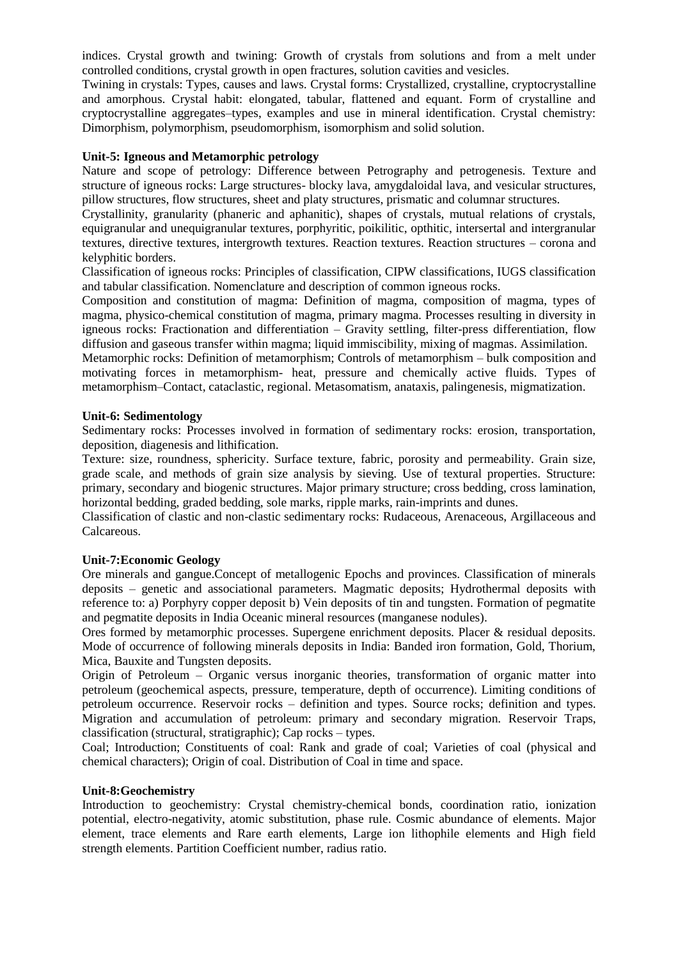indices. Crystal growth and twining: Growth of crystals from solutions and from a melt under controlled conditions, crystal growth in open fractures, solution cavities and vesicles.

Twining in crystals: Types, causes and laws. Crystal forms: Crystallized, crystalline, cryptocrystalline and amorphous. Crystal habit: elongated, tabular, flattened and equant. Form of crystalline and cryptocrystalline aggregates–types, examples and use in mineral identification. Crystal chemistry: Dimorphism, polymorphism, pseudomorphism, isomorphism and solid solution.

# **Unit-5: Igneous and Metamorphic petrology**

Nature and scope of petrology: Difference between Petrography and petrogenesis. Texture and structure of igneous rocks: Large structures- blocky lava, amygdaloidal lava, and vesicular structures, pillow structures, flow structures, sheet and platy structures, prismatic and columnar structures.

Crystallinity, granularity (phaneric and aphanitic), shapes of crystals, mutual relations of crystals, equigranular and unequigranular textures, porphyritic, poikilitic, opthitic, intersertal and intergranular textures, directive textures, intergrowth textures. Reaction textures. Reaction structures – corona and kelyphitic borders.

Classification of igneous rocks: Principles of classification, CIPW classifications, IUGS classification and tabular classification. Nomenclature and description of common igneous rocks.

Composition and constitution of magma: Definition of magma, composition of magma, types of magma, physico-chemical constitution of magma, primary magma. Processes resulting in diversity in igneous rocks: Fractionation and differentiation – Gravity settling, filter-press differentiation, flow diffusion and gaseous transfer within magma; liquid immiscibility, mixing of magmas. Assimilation.

Metamorphic rocks: Definition of metamorphism; Controls of metamorphism – bulk composition and motivating forces in metamorphism- heat, pressure and chemically active fluids. Types of metamorphism–Contact, cataclastic, regional. Metasomatism, anataxis, palingenesis, migmatization.

#### **Unit-6: Sedimentology**

Sedimentary rocks: Processes involved in formation of sedimentary rocks: erosion, transportation, deposition, diagenesis and lithification.

Texture: size, roundness, sphericity. Surface texture, fabric, porosity and permeability. Grain size, grade scale, and methods of grain size analysis by sieving. Use of textural properties. Structure: primary, secondary and biogenic structures. Major primary structure; cross bedding, cross lamination, horizontal bedding, graded bedding, sole marks, ripple marks, rain-imprints and dunes.

Classification of clastic and non-clastic sedimentary rocks: Rudaceous, Arenaceous, Argillaceous and Calcareous.

### **Unit-7:Economic Geology**

Ore minerals and gangue.Concept of metallogenic Epochs and provinces. Classification of minerals deposits – genetic and associational parameters. Magmatic deposits; Hydrothermal deposits with reference to: a) Porphyry copper deposit b) Vein deposits of tin and tungsten. Formation of pegmatite and pegmatite deposits in India Oceanic mineral resources (manganese nodules).

Ores formed by metamorphic processes. Supergene enrichment deposits. Placer & residual deposits. Mode of occurrence of following minerals deposits in India: Banded iron formation, Gold, Thorium, Mica, Bauxite and Tungsten deposits.

Origin of Petroleum – Organic versus inorganic theories, transformation of organic matter into petroleum (geochemical aspects, pressure, temperature, depth of occurrence). Limiting conditions of petroleum occurrence. Reservoir rocks – definition and types. Source rocks; definition and types. Migration and accumulation of petroleum: primary and secondary migration. Reservoir Traps, classification (structural, stratigraphic); Cap rocks – types.

Coal; Introduction; Constituents of coal: Rank and grade of coal; Varieties of coal (physical and chemical characters); Origin of coal. Distribution of Coal in time and space.

#### **Unit-8:Geochemistry**

Introduction to geochemistry: Crystal chemistry-chemical bonds, coordination ratio, ionization potential, electro-negativity, atomic substitution, phase rule. Cosmic abundance of elements. Major element, trace elements and Rare earth elements, Large ion lithophile elements and High field strength elements. Partition Coefficient number, radius ratio.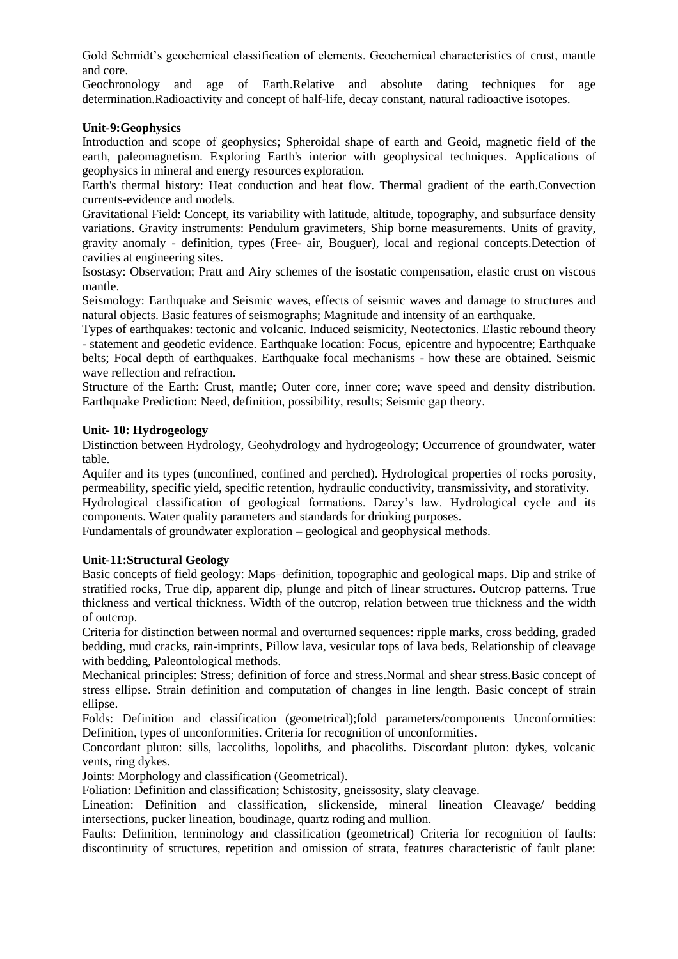Gold Schmidt's geochemical classification of elements. Geochemical characteristics of crust, mantle and core.

Geochronology and age of Earth.Relative and absolute dating techniques for age determination.Radioactivity and concept of half-life, decay constant, natural radioactive isotopes.

# **Unit-9:Geophysics**

Introduction and scope of geophysics; Spheroidal shape of earth and Geoid, magnetic field of the earth, paleomagnetism. Exploring Earth's interior with geophysical techniques. Applications of geophysics in mineral and energy resources exploration.

Earth's thermal history: Heat conduction and heat flow. Thermal gradient of the earth.Convection currents-evidence and models.

Gravitational Field: Concept, its variability with latitude, altitude, topography, and subsurface density variations. Gravity instruments: Pendulum gravimeters, Ship borne measurements. Units of gravity, gravity anomaly - definition, types (Free- air, Bouguer), local and regional concepts.Detection of cavities at engineering sites.

Isostasy: Observation; Pratt and Airy schemes of the isostatic compensation, elastic crust on viscous mantle.

Seismology: Earthquake and Seismic waves, effects of seismic waves and damage to structures and natural objects. Basic features of seismographs; Magnitude and intensity of an earthquake.

Types of earthquakes: tectonic and volcanic. Induced seismicity, Neotectonics. Elastic rebound theory - statement and geodetic evidence. Earthquake location: Focus, epicentre and hypocentre; Earthquake belts; Focal depth of earthquakes. Earthquake focal mechanisms - how these are obtained. Seismic wave reflection and refraction.

Structure of the Earth: Crust, mantle; Outer core, inner core; wave speed and density distribution. Earthquake Prediction: Need, definition, possibility, results; Seismic gap theory.

#### **Unit- 10: Hydrogeology**

Distinction between Hydrology, Geohydrology and hydrogeology; Occurrence of groundwater, water table.

Aquifer and its types (unconfined, confined and perched). Hydrological properties of rocks porosity, permeability, specific yield, specific retention, hydraulic conductivity, transmissivity, and storativity.

Hydrological classification of geological formations. Darcy's law. Hydrological cycle and its components. Water quality parameters and standards for drinking purposes.

Fundamentals of groundwater exploration – geological and geophysical methods.

# **Unit-11:Structural Geology**

Basic concepts of field geology: Maps–definition, topographic and geological maps. Dip and strike of stratified rocks, True dip, apparent dip, plunge and pitch of linear structures. Outcrop patterns. True thickness and vertical thickness. Width of the outcrop, relation between true thickness and the width of outcrop.

Criteria for distinction between normal and overturned sequences: ripple marks, cross bedding, graded bedding, mud cracks, rain-imprints, Pillow lava, vesicular tops of lava beds, Relationship of cleavage with bedding, Paleontological methods.

Mechanical principles: Stress; definition of force and stress.Normal and shear stress.Basic concept of stress ellipse. Strain definition and computation of changes in line length. Basic concept of strain ellipse.

Folds: Definition and classification (geometrical);fold parameters/components Unconformities: Definition, types of unconformities. Criteria for recognition of unconformities.

Concordant pluton: sills, laccoliths, lopoliths, and phacoliths. Discordant pluton: dykes, volcanic vents, ring dykes.

Joints: Morphology and classification (Geometrical).

Foliation: Definition and classification; Schistosity, gneissosity, slaty cleavage.

Lineation: Definition and classification, slickenside, mineral lineation Cleavage/ bedding intersections, pucker lineation, boudinage, quartz roding and mullion.

Faults: Definition, terminology and classification (geometrical) Criteria for recognition of faults: discontinuity of structures, repetition and omission of strata, features characteristic of fault plane: